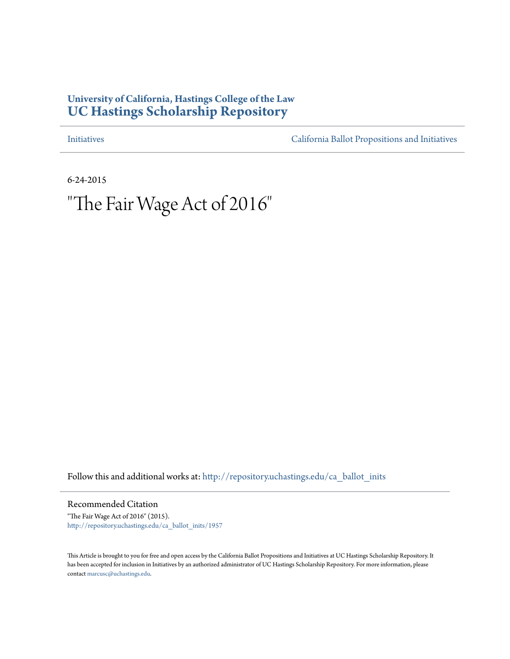## **University of California, Hastings College of the Law [UC Hastings Scholarship Repository](http://repository.uchastings.edu?utm_source=repository.uchastings.edu%2Fca_ballot_inits%2F1957&utm_medium=PDF&utm_campaign=PDFCoverPages)**

[Initiatives](http://repository.uchastings.edu/ca_ballot_inits?utm_source=repository.uchastings.edu%2Fca_ballot_inits%2F1957&utm_medium=PDF&utm_campaign=PDFCoverPages) [California Ballot Propositions and Initiatives](http://repository.uchastings.edu/ca_ballots?utm_source=repository.uchastings.edu%2Fca_ballot_inits%2F1957&utm_medium=PDF&utm_campaign=PDFCoverPages)

6-24-2015

# "The Fair Wage Act of 2016"

Follow this and additional works at: [http://repository.uchastings.edu/ca\\_ballot\\_inits](http://repository.uchastings.edu/ca_ballot_inits?utm_source=repository.uchastings.edu%2Fca_ballot_inits%2F1957&utm_medium=PDF&utm_campaign=PDFCoverPages)

Recommended Citation

"The Fair Wage Act of 2016" (2015). [http://repository.uchastings.edu/ca\\_ballot\\_inits/1957](http://repository.uchastings.edu/ca_ballot_inits/1957?utm_source=repository.uchastings.edu%2Fca_ballot_inits%2F1957&utm_medium=PDF&utm_campaign=PDFCoverPages)

This Article is brought to you for free and open access by the California Ballot Propositions and Initiatives at UC Hastings Scholarship Repository. It has been accepted for inclusion in Initiatives by an authorized administrator of UC Hastings Scholarship Repository. For more information, please contact [marcusc@uchastings.edu](mailto:marcusc@uchastings.edu).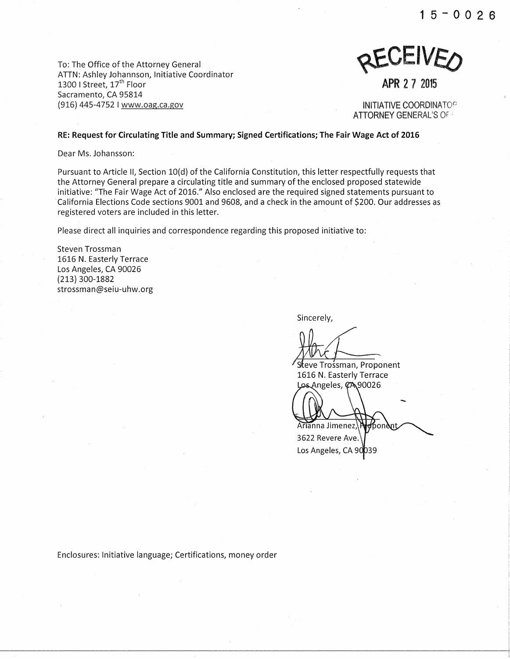**1 5 - 0 0 2 6** 

To: The Office of the Attorney General AITN: Ashley Johannson, Initiative Coordinator 1300 I Street, 17<sup>th</sup> Floor Sacramento, CA 95814 (916) 445-4752 I www.oag.ca.gov



**APR 2 7 2015** 

INITIATIVE COORDINATOP ATTORNEY GENERAL'S OF.:

**RE: Request for Circulating Title and Summary; Signed Certifications; The Fair Wage Act of 2016** 

Dear Ms. Johansson:

Pursuant to Article II, Section 10(d) of the California Constitution, this letter respectfully requests that the Attorney General prepare a circulating title and summary of the enclosed proposed statewide initiative: "The Fair Wage Act of 2016." Also enclosed are the required signed statements pursuant to ·California Elections Code sections 9001 and 9608, and a check in the amount of \$200. Our addresses as registered voters are included in this letter.

Please direct all inquiries and correspondence regarding this proposed initiative to:

Steven Trossman 1616 N. Easterly Terrace Los Angeles, CA 90026 {213) 300-1882 strossman@seiu-uhw.org

Sincerely,

Steve Trośsman, Proponent 1616 N. Easterly Terrace Los Angeles, CA 90026

Arianna Jimenez, honàn

3622 Revere Ave. Los Angeles, CA 9

Enclosures: Initiative language; Certifications, money order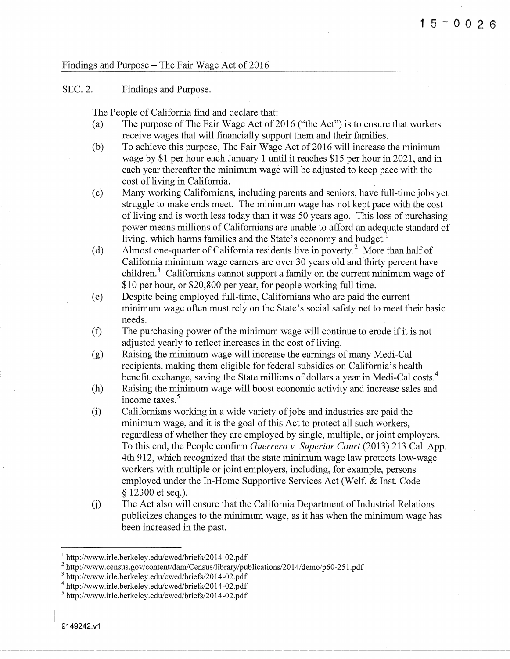### Findings and Purpose – The Fair Wage Act of 2016

#### SEC.2. Findings and Purpose.

The People of California find and declare that:

- (a) The purpose of The Fair Wage Act of 2016 ("the Act") is to ensure that workers receive wages that will financially support them and their families.
- (b) To achieve this purpose, The Fair Wage Act of 2016 will increase the minimum wage by \$1 per hour each January 1 until it reaches \$15 per hour in 2021, and in each year thereafter the minimum wage will be adjusted to keep pace with the cost of living in California.
- (c) Many working Californians, including parents and seniors, have full-time jobs yet struggle to make ends meet. The minimum wage has not kept pace with the cost of living and is worth less today than it was 50 years ago. This loss of purchasing power means millions of Californians are unable to afford an adequate standard of living, which harms families and the State's economy and budget.
- (d) Almost one-quarter of California residents live in poverty.2 More than half of California minimum wage earners are over 30 years old and thirty percent have children.<sup>3</sup> Californians cannot support a family on the current minimum wage of \$10 per hour, or \$20,800 per year, for people working full time.
- (e) Despite being employed full-time, Californians who are paid the current minimum wage often must rely on the State's social safety net to meet their basic needs.
- (f) The purchasing power of the minimum wage will continue to erode if it is not adjusted yearly to reflect increases in the cost of living.
- (g) Raising the minimum wage will increase the earnings of many Medi-Cal recipients, making them eligible for federal subsidies on California's health benefit exchange, saving the State millions of dollars a year in Medi-Cal costs.4
- (h) Raising the minimum wage will boost economic activity and increase sales and income taxes. 5
- (i) Californians working in a wide variety of jobs and industries are paid the minimum wage, and it is the goal of this Act to protect all such workers, regardless of whether they are employed by single, multiple, or joint employers. To this end, the People confirm *Guerrero v. Superior Court* (2013) 213 Cal. App. 4th 912, which recognized that the state minimum wage law protects low-wage workers with multiple or joint employers, including, for example, persons employed under the In-Home Supportive Services Act (Welf. & Inst. Code § 12300 et seq.).
- The Act also will ensure that the California Department of Industrial Relations  $(i)$ publicizes changes to the minimum wage, as it has when the minimum wage has been increased in the past.

<sup>&</sup>lt;sup>1</sup> http://www.irle.berkeley.edu/cwed/briefs/2014-02.pdf<br>
<sup>2</sup> http://www.census.gov/content/dam/Census/library/publications/2014/demo/p60-251.pdf<br>
<sup>3</sup> http://www.irle.berkeley.edu/cwed/briefs/2014-02.pdf

<sup>4</sup> http://www .ir le. berkeley .edu/ cwed/briefs/20 14-02. pdf

<sup>&</sup>lt;sup>5</sup>http://www.irle.berkeley.edu/cwed/briefs/2014-02.pdf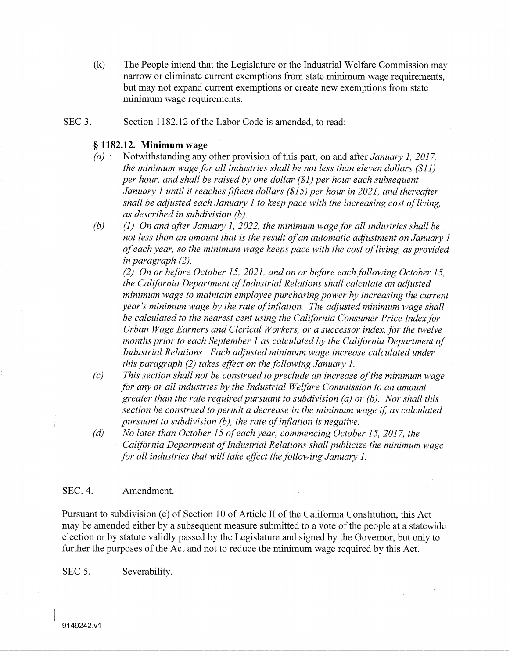- (k) The People intend that the Legislature or the Industrial Welfare Commission may narrow or eliminate current exemptions from state minimum wage requirements, but may not expand current exemptions or create new exemptions from state minimum wage requirements.
- SEC<sub>3</sub>. Section 1182.12 of the Labor Code is amended, to read:

### § **1182.12. Minimum wage**

- *(a)* · Notwithstanding any other provision of this part, on and after *January 1, 2017, the minimum wage for all industries shall be not less than eleven dollars (\$11) per hour, and shall be raised by one dollar (\$1) per hour each subsequent January 1 until it reaches fifteen dollars (\$15) per hour in 2021, and thereafter shall be adjusted each January 1 to keep pace with the increasing cost of living, as described in subdivision (b).*
- *(b) (1) On and after January 1, 2022, the minimum wage for all industries shall be not less than an amount that is the result of an automatic adjustment on January 1 of each year, so the minimum wage keeps pace with the cost of living, as provided in paragraph (2).*

*(2) On or before October 15, 2021, and on or before each following October 15, the California Department of Industrial Relations shall calculate an adjusted minimum wage to maintain employee purchasing power by increasing the current year's minimum wage by the rate of inflation. The adjusted minimum wage shall be calculated to the nearest cent using the California Consumer Price Index for Urban Wage Earners and Clerical Workers, or a successor index, for the twelve months prior to each September 1 as calculated by the California Department of Industrial Relations. Each adjusted minimum wage increase calculated under this paragraph (2) takes effect on the following January 1.* 

- *(c) This section shall not be construed to preclude an increase of the minimum wage for any or all industries by the Industrial Welfare Commission to an amount greater than the rate required pursuant to subdivision (a) or (b). Nor shall this section be construed to permit a decrease in the minimum wage* if, *as calculated pursuant to subdivision (b), the rate of inflation is negative.*
- *(d) No later than October 15 of each year, commencing October 15, 2017, the California Department of Industrial Relations shall publicize the minimum wage for all industries that will take effect the following January 1.*

#### SEC.4. Amendment.

Pursuant to subdivision (c) of Section 10 of Article II of the California Constitution, this Act may be amended either by a subsequent measure submitted to a vote of the people at a statewide election or by statute validly passed by the Legislature and signed by the Governor, but only to further the purposes of the Act and not to reduce the minimum wage required by this Act.

SEC 5. Severability.